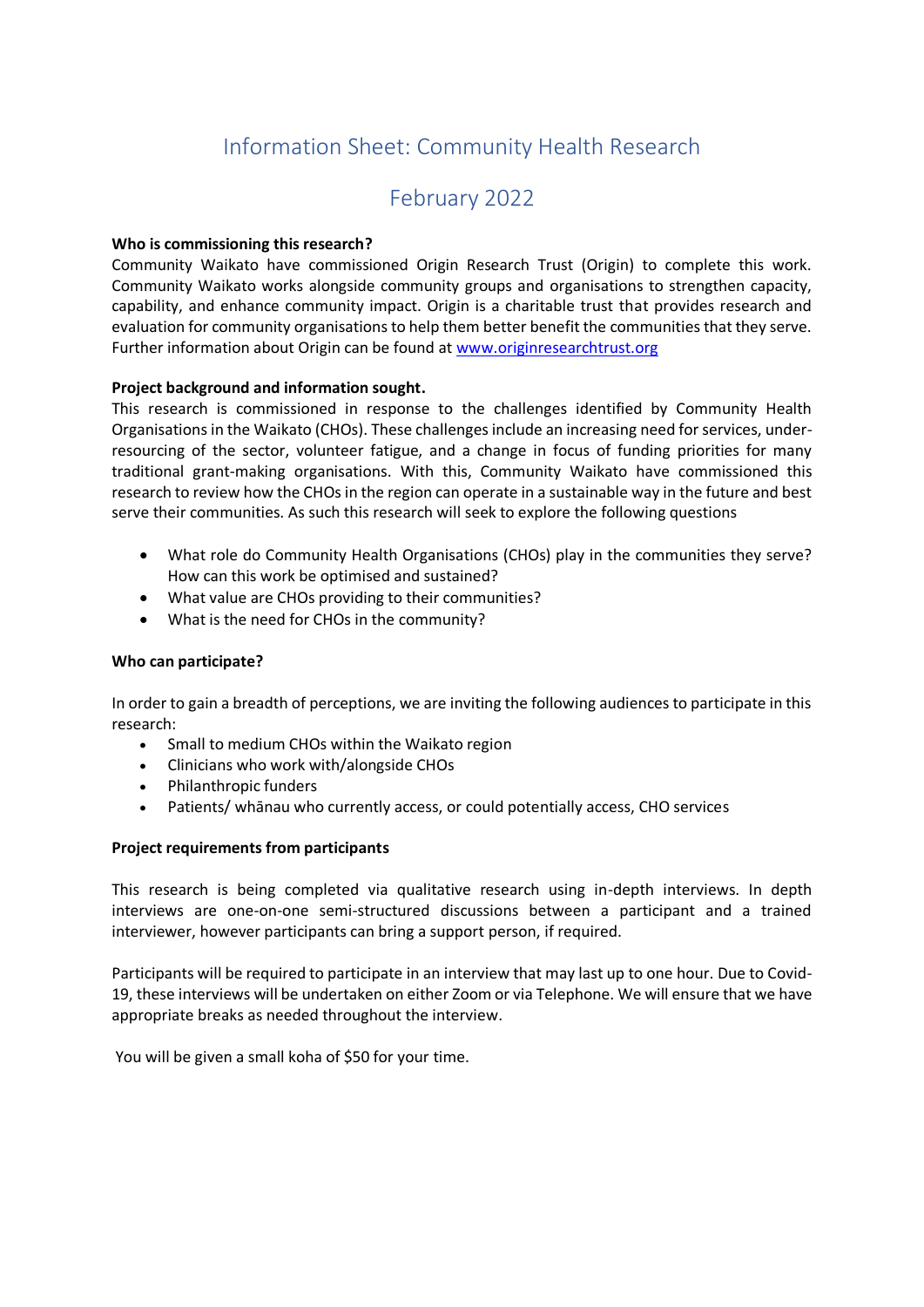# Information Sheet: Community Health Research

# February 2022

# **Who is commissioning this research?**

Community Waikato have commissioned Origin Research Trust (Origin) to complete this work. Community Waikato works alongside community groups and organisations to strengthen capacity, capability, and enhance community impact. Origin is a charitable trust that provides research and evaluation for community organisations to help them better benefit the communities that they serve. Further information about Origin can be found at [www.originresearchtrust.org](http://www.originresearchtrust.org/)

# **Project background and information sought.**

This research is commissioned in response to the challenges identified by Community Health Organisations in the Waikato (CHOs). These challenges include an increasing need for services, underresourcing of the sector, volunteer fatigue, and a change in focus of funding priorities for many traditional grant-making organisations. With this, Community Waikato have commissioned this research to review how the CHOs in the region can operate in a sustainable way in the future and best serve their communities. As such this research will seek to explore the following questions

- What role do Community Health Organisations (CHOs) play in the communities they serve? How can this work be optimised and sustained?
- What value are CHOs providing to their communities?
- What is the need for CHOs in the community?

# **Who can participate?**

In order to gain a breadth of perceptions, we are inviting the following audiences to participate in this research:

- Small to medium CHOs within the Waikato region
- Clinicians who work with/alongside CHOs
- Philanthropic funders
- Patients/ whānau who currently access, or could potentially access, CHO services

### **Project requirements from participants**

This research is being completed via qualitative research using in-depth interviews. In depth interviews are one-on-one semi-structured discussions between a participant and a trained interviewer, however participants can bring a support person, if required.

Participants will be required to participate in an interview that may last up to one hour. Due to Covid-19, these interviews will be undertaken on either Zoom or via Telephone. We will ensure that we have appropriate breaks as needed throughout the interview.

You will be given a small koha of \$50 for your time.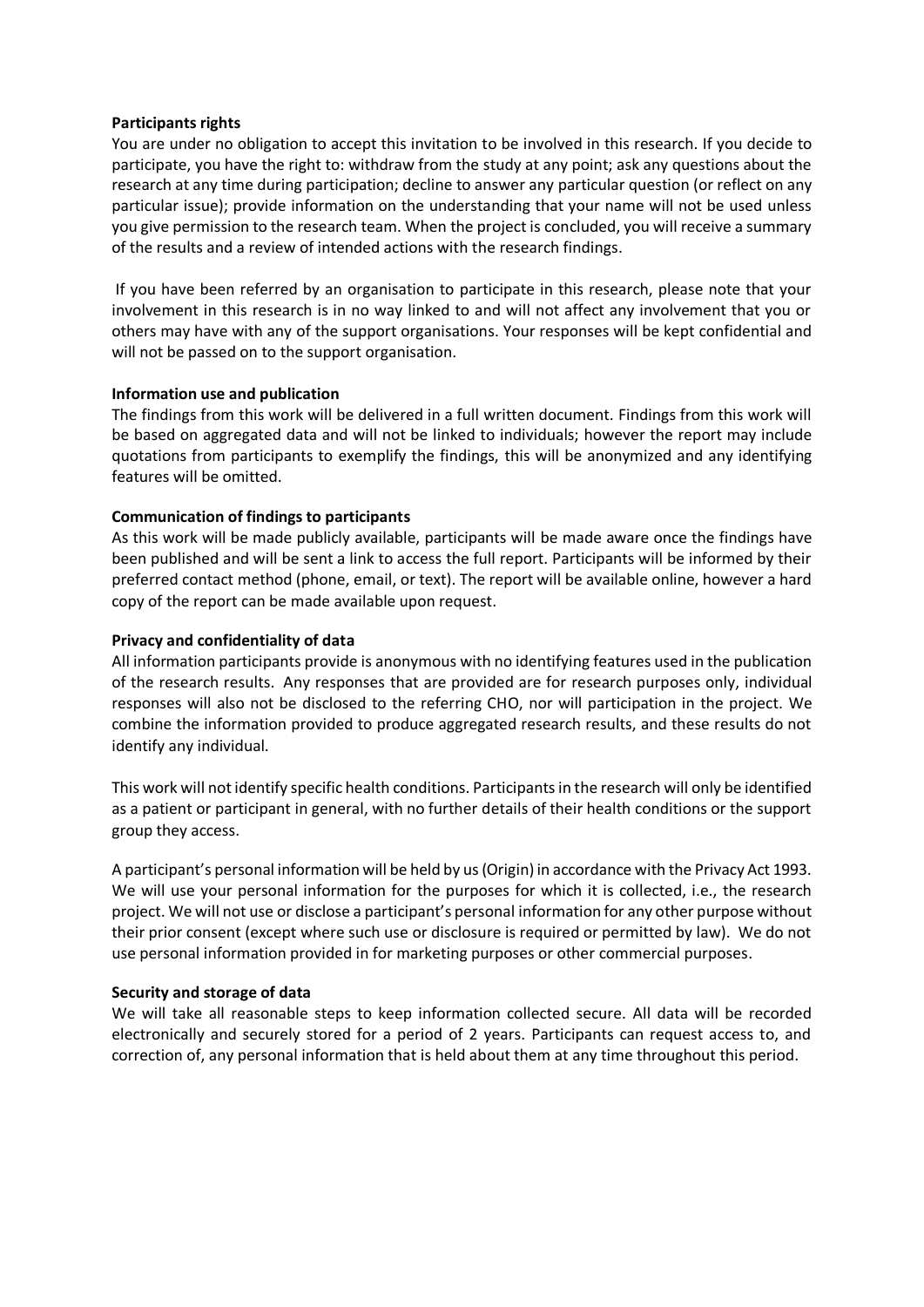### **Participants rights**

You are under no obligation to accept this invitation to be involved in this research. If you decide to participate, you have the right to: withdraw from the study at any point; ask any questions about the research at any time during participation; decline to answer any particular question (or reflect on any particular issue); provide information on the understanding that your name will not be used unless you give permission to the research team. When the project is concluded, you will receive a summary of the results and a review of intended actions with the research findings.

 If you have been referred by an organisation to participate in this research, please note that your involvement in this research is in no way linked to and will not affect any involvement that you or others may have with any of the support organisations. Your responses will be kept confidential and will not be passed on to the support organisation.

#### **Information use and publication**

The findings from this work will be delivered in a full written document. Findings from this work will be based on aggregated data and will not be linked to individuals; however the report may include quotations from participants to exemplify the findings, this will be anonymized and any identifying features will be omitted.

#### **Communication of findings to participants**

As this work will be made publicly available, participants will be made aware once the findings have been published and will be sent a link to access the full report. Participants will be informed by their preferred contact method (phone, email, or text). The report will be available online, however a hard copy of the report can be made available upon request.

#### **Privacy and confidentiality of data**

All information participants provide is anonymous with no identifying features used in the publication of the research results.  Any responses that are provided are for research purposes only, individual responses will also not be disclosed to the referring CHO, nor will participation in the project. We combine the information provided to produce aggregated research results, and these results do not identify any individual.

This work will not identify specific health conditions. Participants in the research will only be identified as a patient or participant in general, with no further details of their health conditions or the support group they access.

A participant's personal information will be held by us (Origin) in accordance with the Privacy Act 1993. We will use your personal information for the purposes for which it is collected, i.e., the research project. We will not use or disclose a participant's personal information for any other purpose without their prior consent (except where such use or disclosure is required or permitted by law).  We do not use personal information provided in for marketing purposes or other commercial purposes.

#### **Security and storage of data**

We will take all reasonable steps to keep information collected secure. All data will be recorded electronically and securely stored for a period of 2 years. Participants can request access to, and correction of, any personal information that is held about them at any time throughout this period.